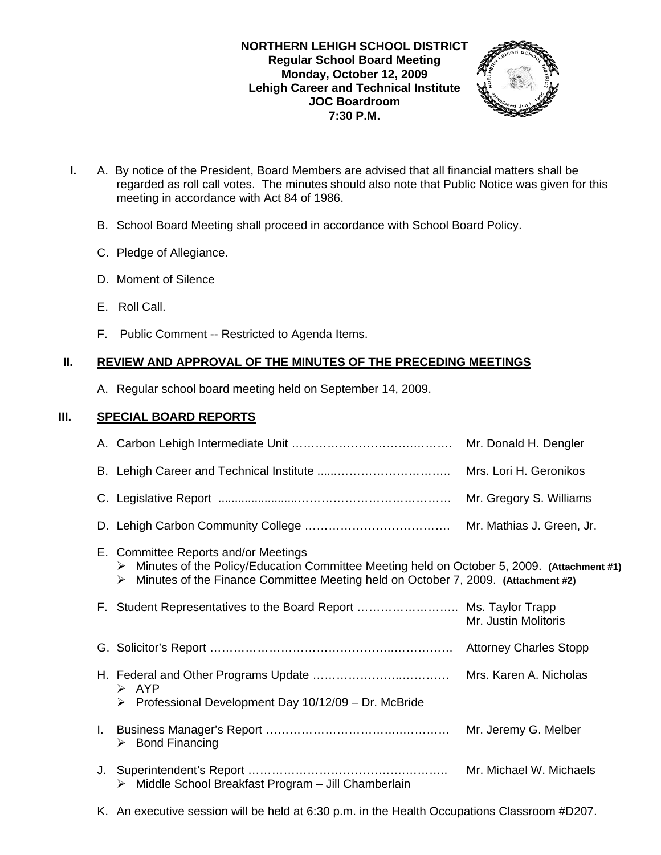## **NORTHERN LEHIGH SCHOOL DISTRICT Regular School Board Meeting Monday, October 12, 2009 Lehigh Career and Technical Institute JOC Boardroom 7:30 P.M.**



- **I.** A. By notice of the President, Board Members are advised that all financial matters shall be regarded as roll call votes. The minutes should also note that Public Notice was given for this meeting in accordance with Act 84 of 1986.
	- B. School Board Meeting shall proceed in accordance with School Board Policy.
	- C. Pledge of Allegiance.
	- D. Moment of Silence
	- E. Roll Call.
	- F. Public Comment -- Restricted to Agenda Items.

# **II. REVIEW AND APPROVAL OF THE MINUTES OF THE PRECEDING MEETINGS**

A. Regular school board meeting held on September 14, 2009.

# **III. SPECIAL BOARD REPORTS**

|    |                                                                                                                                                                                                                                   | Mr. Donald H. Dengler     |  |
|----|-----------------------------------------------------------------------------------------------------------------------------------------------------------------------------------------------------------------------------------|---------------------------|--|
|    |                                                                                                                                                                                                                                   | Mrs. Lori H. Geronikos    |  |
|    |                                                                                                                                                                                                                                   | Mr. Gregory S. Williams   |  |
|    |                                                                                                                                                                                                                                   | Mr. Mathias J. Green, Jr. |  |
|    | E. Committee Reports and/or Meetings<br>Minutes of the Policy/Education Committee Meeting held on October 5, 2009. (Attachment #1)<br>➤<br>Minutes of the Finance Committee Meeting held on October 7, 2009. (Attachment #2)<br>➤ |                           |  |
|    | F. Student Representatives to the Board Report  Ms. Taylor Trapp                                                                                                                                                                  | Mr. Justin Molitoris      |  |
|    |                                                                                                                                                                                                                                   |                           |  |
|    | $\triangleright$ AYP                                                                                                                                                                                                              |                           |  |
|    | Professional Development Day 10/12/09 - Dr. McBride<br>➤                                                                                                                                                                          |                           |  |
|    | $\triangleright$ Bond Financing                                                                                                                                                                                                   | Mr. Jeremy G. Melber      |  |
| J. | > Middle School Breakfast Program - Jill Chamberlain                                                                                                                                                                              | Mr. Michael W. Michaels   |  |

K. An executive session will be held at 6:30 p.m. in the Health Occupations Classroom #D207.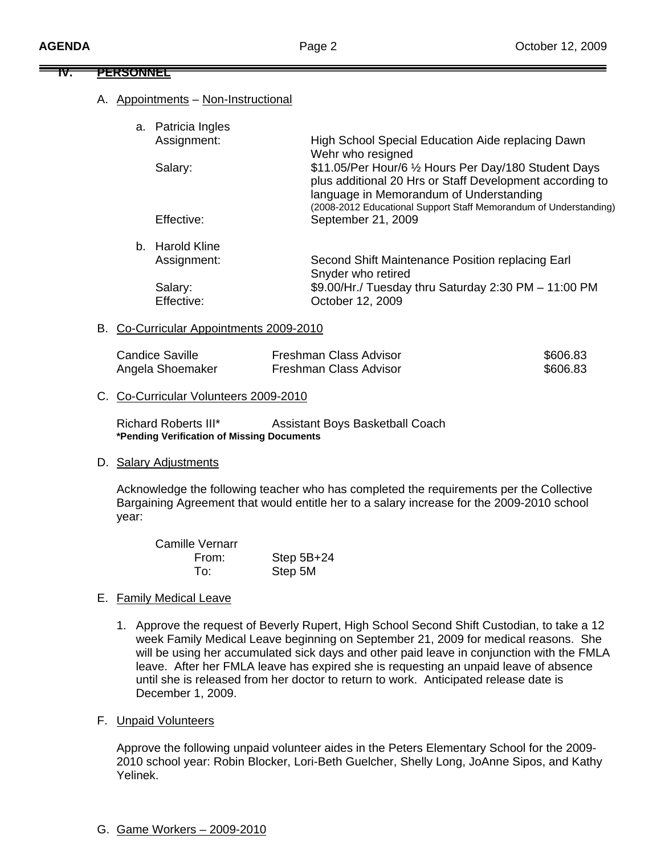#### **IV. PERSONNEL**

### A. Appointments – Non-Instructional

| a. Patricia Ingles<br>Assignment: | High School Special Education Aide replacing Dawn                                                                                                                                                                                 |
|-----------------------------------|-----------------------------------------------------------------------------------------------------------------------------------------------------------------------------------------------------------------------------------|
|                                   | Wehr who resigned                                                                                                                                                                                                                 |
| Salary:                           | \$11.05/Per Hour/6 1/2 Hours Per Day/180 Student Days<br>plus additional 20 Hrs or Staff Development according to<br>language in Memorandum of Understanding<br>(2008-2012 Educational Support Staff Memorandum of Understanding) |
| Effective:                        | September 21, 2009                                                                                                                                                                                                                |
| b. Harold Kline                   |                                                                                                                                                                                                                                   |
| Assignment:                       | Second Shift Maintenance Position replacing Earl<br>Snyder who retired                                                                                                                                                            |
| Salary:                           | \$9.00/Hr./ Tuesday thru Saturday 2:30 PM - 11:00 PM                                                                                                                                                                              |
| Effective:                        | October 12, 2009                                                                                                                                                                                                                  |

#### B. Co-Curricular Appointments 2009-2010

| Candice Saville  | Freshman Class Advisor | \$606.83 |
|------------------|------------------------|----------|
| Angela Shoemaker | Freshman Class Advisor | \$606.83 |

#### C. Co-Curricular Volunteers 2009-2010

 Richard Roberts III\* Assistant Boys Basketball Coach  **\*Pending Verification of Missing Documents**

#### D. Salary Adjustments

Acknowledge the following teacher who has completed the requirements per the Collective Bargaining Agreement that would entitle her to a salary increase for the 2009-2010 school year:

| Camille Vernarr |              |
|-----------------|--------------|
| From:           | Step $5B+24$ |
| To∶             | Step 5M      |

#### E. Family Medical Leave

- 1. Approve the request of Beverly Rupert, High School Second Shift Custodian, to take a 12 week Family Medical Leave beginning on September 21, 2009 for medical reasons. She will be using her accumulated sick days and other paid leave in conjunction with the FMLA leave. After her FMLA leave has expired she is requesting an unpaid leave of absence until she is released from her doctor to return to work. Anticipated release date is December 1, 2009.
- F. Unpaid Volunteers

Approve the following unpaid volunteer aides in the Peters Elementary School for the 2009- 2010 school year: Robin Blocker, Lori-Beth Guelcher, Shelly Long, JoAnne Sipos, and Kathy Yelinek.

G. Game Workers – 2009-2010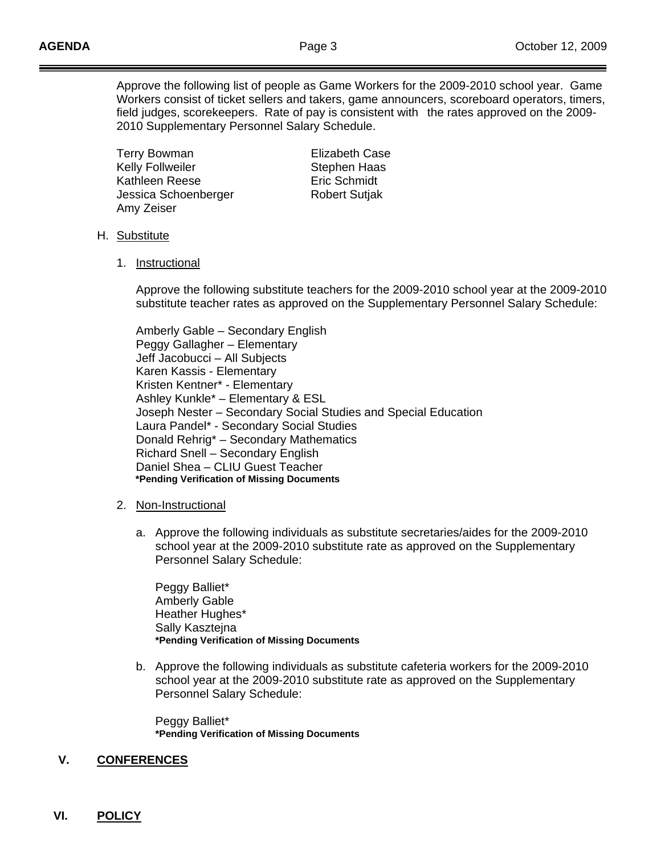Approve the following list of people as Game Workers for the 2009-2010 school year. Game Workers consist of ticket sellers and takers, game announcers, scoreboard operators, timers, field judges, scorekeepers. Rate of pay is consistent with the rates approved on the 2009- 2010 Supplementary Personnel Salary Schedule.

 Terry Bowman Elizabeth Case Kelly Follweiler **Stephen Haas** Kathleen Reese **Eric Schmidt** Jessica Schoenberger **Robert Sutjak** Amy Zeiser

- H. Substitute
	- 1. Instructional

 Approve the following substitute teachers for the 2009-2010 school year at the 2009-2010 substitute teacher rates as approved on the Supplementary Personnel Salary Schedule:

 Amberly Gable – Secondary English Peggy Gallagher – Elementary Jeff Jacobucci – All Subjects Karen Kassis - Elementary Kristen Kentner\* - Elementary Ashley Kunkle\* – Elementary & ESL Joseph Nester – Secondary Social Studies and Special Education Laura Pandel\* - Secondary Social Studies Donald Rehrig\* – Secondary Mathematics Richard Snell – Secondary English Daniel Shea – CLIU Guest Teacher  **\*Pending Verification of Missing Documents**

- 2. Non-Instructional
	- a. Approve the following individuals as substitute secretaries/aides for the 2009-2010 school year at the 2009-2010 substitute rate as approved on the Supplementary Personnel Salary Schedule:

 Peggy Balliet\* Amberly Gable Heather Hughes\* Sally Kasztejna **\*Pending Verification of Missing Documents**

b. Approve the following individuals as substitute cafeteria workers for the 2009-2010 school year at the 2009-2010 substitute rate as approved on the Supplementary Personnel Salary Schedule:

 Peggy Balliet\* **\*Pending Verification of Missing Documents**

## **V. CONFERENCES**

#### **VI. POLICY**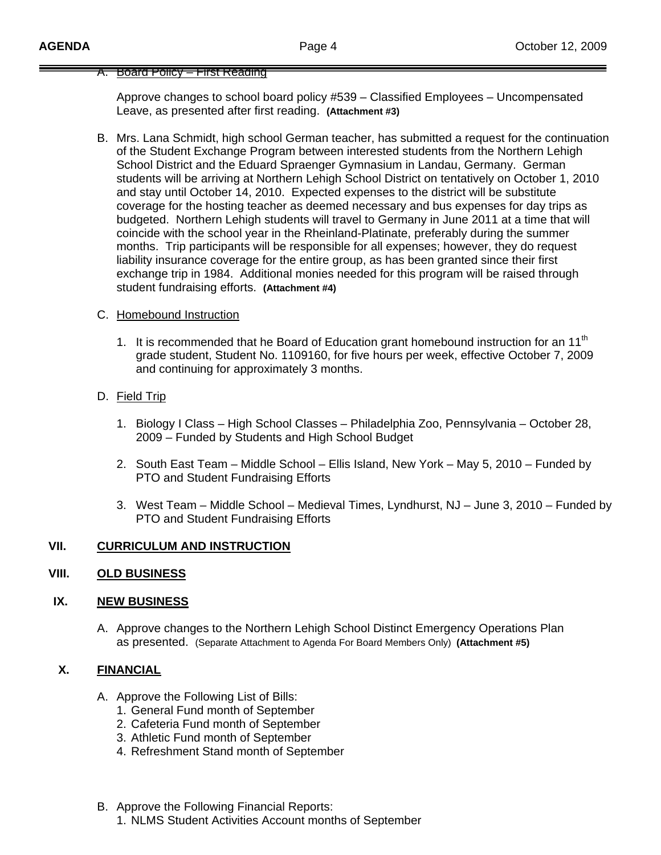#### A. Board Policy – First Reading

Approve changes to school board policy #539 – Classified Employees – Uncompensated Leave, as presented after first reading. **(Attachment #3)**

B. Mrs. Lana Schmidt, high school German teacher, has submitted a request for the continuation of the Student Exchange Program between interested students from the Northern Lehigh School District and the Eduard Spraenger Gymnasium in Landau, Germany. German students will be arriving at Northern Lehigh School District on tentatively on October 1, 2010 and stay until October 14, 2010. Expected expenses to the district will be substitute coverage for the hosting teacher as deemed necessary and bus expenses for day trips as budgeted. Northern Lehigh students will travel to Germany in June 2011 at a time that will coincide with the school year in the Rheinland-Platinate, preferably during the summer months. Trip participants will be responsible for all expenses; however, they do request liability insurance coverage for the entire group, as has been granted since their first exchange trip in 1984. Additional monies needed for this program will be raised through student fundraising efforts. **(Attachment #4)**

### C. Homebound Instruction

- 1. It is recommended that he Board of Education grant homebound instruction for an 11<sup>th</sup> grade student, Student No. 1109160, for five hours per week, effective October 7, 2009 and continuing for approximately 3 months.
- D. Field Trip
	- 1. Biology I Class High School Classes Philadelphia Zoo, Pennsylvania October 28, 2009 – Funded by Students and High School Budget
	- 2. South East Team Middle School Ellis Island, New York May 5, 2010 Funded by PTO and Student Fundraising Efforts
	- 3. West Team Middle School Medieval Times, Lyndhurst, NJ June 3, 2010 Funded by PTO and Student Fundraising Efforts

# **VII. CURRICULUM AND INSTRUCTION**

#### **VIII. OLD BUSINESS**

#### **IX. NEW BUSINESS**

A. Approve changes to the Northern Lehigh School Distinct Emergency Operations Plan as presented. (Separate Attachment to Agenda For Board Members Only) **(Attachment #5)**

#### **X. FINANCIAL**

- A. Approve the Following List of Bills:
	- 1. General Fund month of September
	- 2. Cafeteria Fund month of September
	- 3. Athletic Fund month of September
	- 4. Refreshment Stand month of September
- B. Approve the Following Financial Reports:
	- 1. NLMS Student Activities Account months of September